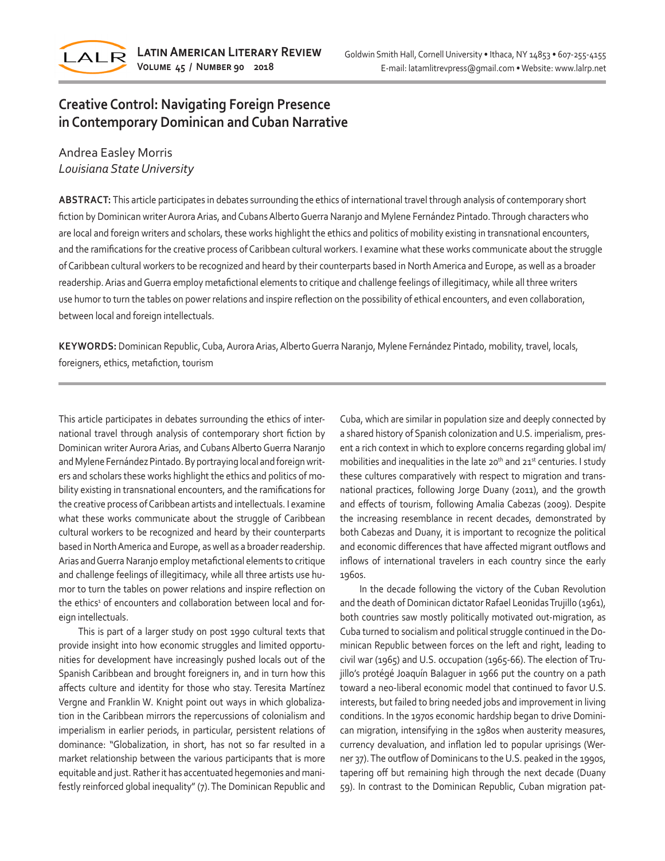

# **Creative Control: Navigating Foreign Presence in Contemporary Dominican and Cuban Narrative**

## Andrea Easley Morris *Louisiana State University*

**ABSTRACT:** This article participates in debates surrounding the ethics of international travel through analysis of contemporary short fiction by Dominican writer Aurora Arias, and Cubans Alberto Guerra Naranjo and Mylene Fernández Pintado. Through characters who are local and foreign writers and scholars, these works highlight the ethics and politics of mobility existing in transnational encounters, and the ramifications for the creative process of Caribbean cultural workers. I examine what these works communicate about the struggle of Caribbean cultural workers to be recognized and heard by their counterparts based in North America and Europe, as well as a broader readership. Arias and Guerra employ metafictional elements to critique and challenge feelings of illegitimacy, while all three writers use humor to turn the tables on power relations and inspire reflection on the possibility of ethical encounters, and even collaboration, between local and foreign intellectuals.

**KEYWORDS:** Dominican Republic, Cuba, Aurora Arias, Alberto Guerra Naranjo, Mylene Fernández Pintado, mobility, travel, locals, foreigners, ethics, metafiction, tourism

This article participates in debates surrounding the ethics of international travel through analysis of contemporary short fiction by Dominican writer Aurora Arias, and Cubans Alberto Guerra Naranjo and Mylene Fernández Pintado. By portraying local and foreign writers and scholars these works highlight the ethics and politics of mobility existing in transnational encounters, and the ramifications for the creative process of Caribbean artists and intellectuals. I examine what these works communicate about the struggle of Caribbean cultural workers to be recognized and heard by their counterparts based in North America and Europe, as well as a broader readership. Arias and Guerra Naranjo employ metafictional elements to critique and challenge feelings of illegitimacy, while all three artists use humor to turn the tables on power relations and inspire reflection on the ethics<sup>1</sup> of encounters and collaboration between local and foreign intellectuals.

This is part of a larger study on post 1990 cultural texts that provide insight into how economic struggles and limited opportunities for development have increasingly pushed locals out of the Spanish Caribbean and brought foreigners in, and in turn how this affects culture and identity for those who stay. Teresita Martínez Vergne and Franklin W. Knight point out ways in which globalization in the Caribbean mirrors the repercussions of colonialism and imperialism in earlier periods, in particular, persistent relations of dominance: "Globalization, in short, has not so far resulted in a market relationship between the various participants that is more equitable and just. Rather it has accentuated hegemonies and manifestly reinforced global inequality" (7). The Dominican Republic and Cuba, which are similar in population size and deeply connected by a shared history of Spanish colonization and U.S. imperialism, present a rich context in which to explore concerns regarding global im/ mobilities and inequalities in the late 20<sup>th</sup> and  $21<sup>st</sup>$  centuries. I study these cultures comparatively with respect to migration and transnational practices, following Jorge Duany (2011), and the growth and effects of tourism, following Amalia Cabezas (2009). Despite the increasing resemblance in recent decades, demonstrated by both Cabezas and Duany, it is important to recognize the political and economic differences that have affected migrant outflows and inflows of international travelers in each country since the early 1960s.

In the decade following the victory of the Cuban Revolution and the death of Dominican dictator Rafael Leonidas Trujillo (1961), both countries saw mostly politically motivated out-migration, as Cuba turned to socialism and political struggle continued in the Dominican Republic between forces on the left and right, leading to civil war (1965) and U.S. occupation (1965-66). The election of Trujillo's protégé Joaquín Balaguer in 1966 put the country on a path toward a neo-liberal economic model that continued to favor U.S. interests, but failed to bring needed jobs and improvement in living conditions. In the 1970s economic hardship began to drive Dominican migration, intensifying in the 1980s when austerity measures, currency devaluation, and inflation led to popular uprisings (Werner 37). The outflow of Dominicans to the U.S. peaked in the 1990s, tapering off but remaining high through the next decade (Duany 59). In contrast to the Dominican Republic, Cuban migration pat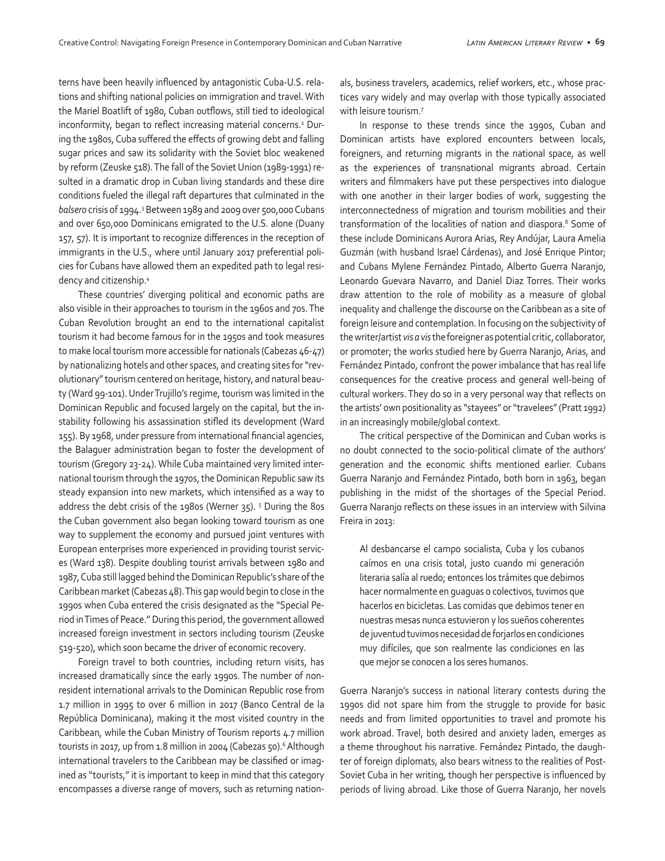terns have been heavily influenced by antagonistic Cuba-U.S. relations and shifting national policies on immigration and travel. With the Mariel Boatlift of 1980, Cuban outflows, still tied to ideological inconformity, began to reflect increasing material concerns.<sup>2</sup> During the 1980s, Cuba suffered the effects of growing debt and falling sugar prices and saw its solidarity with the Soviet bloc weakened by reform (Zeuske 518). The fall of the Soviet Union (1989-1991) resulted in a dramatic drop in Cuban living standards and these dire conditions fueled the illegal raft departures that culminated in the *balsero* crisis of 1994.3 Between 1989 and 2009 over 500,000 Cubans and over 650,000 Dominicans emigrated to the U.S. alone (Duany 157, 57). It is important to recognize differences in the reception of immigrants in the U.S., where until January 2017 preferential policies for Cubans have allowed them an expedited path to legal residency and citizenship.4

These countries' diverging political and economic paths are also visible in their approaches to tourism in the 1960s and 70s. The Cuban Revolution brought an end to the international capitalist tourism it had become famous for in the 1950s and took measures to make local tourism more accessible for nationals (Cabezas 46-47) by nationalizing hotels and other spaces, and creating sites for "revolutionary" tourism centered on heritage, history, and natural beauty (Ward 99-101). Under Trujillo's regime, tourism was limited in the Dominican Republic and focused largely on the capital, but the instability following his assassination stifled its development (Ward 155). By 1968, under pressure from international financial agencies, the Balaguer administration began to foster the development of tourism (Gregory 23-24). While Cuba maintained very limited international tourism through the 1970s, the Dominican Republic saw its steady expansion into new markets, which intensified as a way to address the debt crisis of the 1980s (Werner 35). <sup>5</sup> During the 80s the Cuban government also began looking toward tourism as one way to supplement the economy and pursued joint ventures with European enterprises more experienced in providing tourist services (Ward 138). Despite doubling tourist arrivals between 1980 and 1987, Cuba still lagged behind the Dominican Republic's share of the Caribbean market (Cabezas 48). This gap would begin to close in the 1990s when Cuba entered the crisis designated as the "Special Period in Times of Peace." During this period, the government allowed increased foreign investment in sectors including tourism (Zeuske 519-520), which soon became the driver of economic recovery.

Foreign travel to both countries, including return visits, has increased dramatically since the early 1990s. The number of nonresident international arrivals to the Dominican Republic rose from 1.7 million in 1995 to over 6 million in 2017 (Banco Central de la República Dominicana), making it the most visited country in the Caribbean, while the Cuban Ministry of Tourism reports 4.7 million tourists in 2017, up from 1.8 million in 2004 (Cabezas 50).<sup>6</sup> Although international travelers to the Caribbean may be classified or imagined as "tourists," it is important to keep in mind that this category encompasses a diverse range of movers, such as returning nationals, business travelers, academics, relief workers, etc., whose practices vary widely and may overlap with those typically associated with leisure tourism.7

In response to these trends since the 1990s, Cuban and Dominican artists have explored encounters between locals, foreigners, and returning migrants in the national space, as well as the experiences of transnational migrants abroad. Certain writers and filmmakers have put these perspectives into dialogue with one another in their larger bodies of work, suggesting the interconnectedness of migration and tourism mobilities and their transformation of the localities of nation and diaspora.<sup>8</sup> Some of these include Dominicans Aurora Arias, Rey Andújar, Laura Amelia Guzmán (with husband Israel Cárdenas), and José Enrique Pintor; and Cubans Mylene Fernández Pintado, Alberto Guerra Naranjo, Leonardo Guevara Navarro, and Daniel Diaz Torres. Their works draw attention to the role of mobility as a measure of global inequality and challenge the discourse on the Caribbean as a site of foreign leisure and contemplation. In focusing on the subjectivity of the writer/artist *vis a vis* the foreigner as potential critic, collaborator, or promoter; the works studied here by Guerra Naranjo, Arias, and Fernández Pintado, confront the power imbalance that has real life consequences for the creative process and general well-being of cultural workers. They do so in a very personal way that reflects on the artists' own positionality as "stayees" or "travelees" (Pratt 1992) in an increasingly mobile/global context.

The critical perspective of the Dominican and Cuban works is no doubt connected to the socio-political climate of the authors' generation and the economic shifts mentioned earlier. Cubans Guerra Naranjo and Fernández Pintado, both born in 1963, began publishing in the midst of the shortages of the Special Period. Guerra Naranjo reflects on these issues in an interview with Silvina Freira in 2013:

Al desbancarse el campo socialista, Cuba y los cubanos caímos en una crisis total, justo cuando mi generación literaria salía al ruedo; entonces los trámites que debimos hacer normalmente en guaguas o colectivos, tuvimos que hacerlos en bicicletas. Las comidas que debimos tener en nuestras mesas nunca estuvieron y los sueños coherentes de juventud tuvimos necesidad de forjarlos en condiciones muy difíciles, que son realmente las condiciones en las que mejor se conocen a los seres humanos.

Guerra Naranjo's success in national literary contests during the 1990s did not spare him from the struggle to provide for basic needs and from limited opportunities to travel and promote his work abroad. Travel, both desired and anxiety laden, emerges as a theme throughout his narrative. Fernández Pintado, the daughter of foreign diplomats, also bears witness to the realities of Post-Soviet Cuba in her writing, though her perspective is influenced by periods of living abroad. Like those of Guerra Naranjo, her novels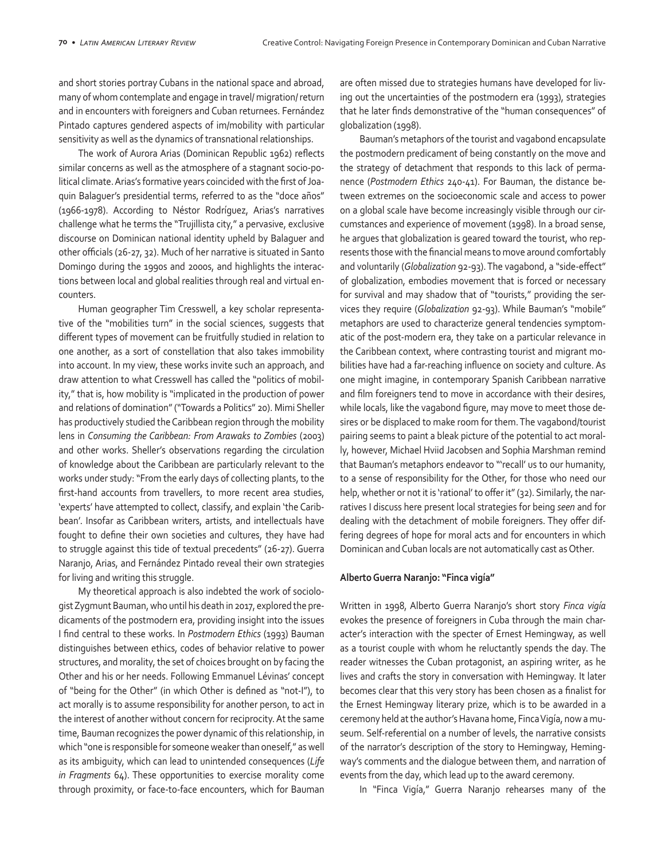and short stories portray Cubans in the national space and abroad, many of whom contemplate and engage in travel/ migration/ return and in encounters with foreigners and Cuban returnees. Fernández Pintado captures gendered aspects of im/mobility with particular sensitivity as well as the dynamics of transnational relationships.

The work of Aurora Arias (Dominican Republic 1962) reflects similar concerns as well as the atmosphere of a stagnant socio-political climate. Arias's formative years coincided with the first of Joaquin Balaguer's presidential terms, referred to as the "doce años" (1966-1978). According to Néstor Rodríguez, Arias's narratives challenge what he terms the "Trujillista city," a pervasive, exclusive discourse on Dominican national identity upheld by Balaguer and other officials (26-27, 32). Much of her narrative is situated in Santo Domingo during the 1990s and 2000s, and highlights the interactions between local and global realities through real and virtual encounters.

Human geographer Tim Cresswell, a key scholar representative of the "mobilities turn" in the social sciences, suggests that different types of movement can be fruitfully studied in relation to one another, as a sort of constellation that also takes immobility into account. In my view, these works invite such an approach, and draw attention to what Cresswell has called the "politics of mobility," that is, how mobility is "implicated in the production of power and relations of domination" ("Towards a Politics" 20). Mimi Sheller has productively studied the Caribbean region through the mobility lens in *Consuming the Caribbean: From Arawaks to Zombies* (2003) and other works. Sheller's observations regarding the circulation of knowledge about the Caribbean are particularly relevant to the works under study: "From the early days of collecting plants, to the first-hand accounts from travellers, to more recent area studies, 'experts' have attempted to collect, classify, and explain 'the Caribbean'. Insofar as Caribbean writers, artists, and intellectuals have fought to define their own societies and cultures, they have had to struggle against this tide of textual precedents" (26-27). Guerra Naranjo, Arias, and Fernández Pintado reveal their own strategies for living and writing this struggle.

My theoretical approach is also indebted the work of sociologist Zygmunt Bauman, who until his death in 2017, explored the predicaments of the postmodern era, providing insight into the issues I find central to these works. In *Postmodern Ethics* (1993) Bauman distinguishes between ethics, codes of behavior relative to power structures, and morality, the set of choices brought on by facing the Other and his or her needs. Following Emmanuel Lévinas' concept of "being for the Other" (in which Other is defined as "not-I"), to act morally is to assume responsibility for another person, to act in the interest of another without concern for reciprocity. At the same time, Bauman recognizes the power dynamic of this relationship, in which "one is responsible for someone weaker than oneself," as well as its ambiguity, which can lead to unintended consequences (*Life in Fragments* 64). These opportunities to exercise morality come through proximity, or face-to-face encounters, which for Bauman

are often missed due to strategies humans have developed for living out the uncertainties of the postmodern era (1993), strategies that he later finds demonstrative of the "human consequences" of globalization (1998).

Bauman's metaphors of the tourist and vagabond encapsulate the postmodern predicament of being constantly on the move and the strategy of detachment that responds to this lack of permanence (*Postmodern Ethics* 240-41). For Bauman, the distance between extremes on the socioeconomic scale and access to power on a global scale have become increasingly visible through our circumstances and experience of movement (1998). In a broad sense, he argues that globalization is geared toward the tourist, who represents those with the financial means to move around comfortably and voluntarily (*Globalization* 92-93). The vagabond, a "side-effect" of globalization, embodies movement that is forced or necessary for survival and may shadow that of "tourists," providing the services they require (*Globalization* 92-93). While Bauman's "mobile" metaphors are used to characterize general tendencies symptomatic of the post-modern era, they take on a particular relevance in the Caribbean context, where contrasting tourist and migrant mobilities have had a far-reaching influence on society and culture. As one might imagine, in contemporary Spanish Caribbean narrative and film foreigners tend to move in accordance with their desires, while locals, like the vagabond figure, may move to meet those desires or be displaced to make room for them. The vagabond/tourist pairing seems to paint a bleak picture of the potential to act morally, however, Michael Hviid Jacobsen and Sophia Marshman remind that Bauman's metaphors endeavor to "'recall' us to our humanity, to a sense of responsibility for the Other, for those who need our help, whether or not it is 'rational' to offer it" (32). Similarly, the narratives I discuss here present local strategies for being *seen* and for dealing with the detachment of mobile foreigners. They offer differing degrees of hope for moral acts and for encounters in which Dominican and Cuban locals are not automatically cast as Other.

#### **Alberto Guerra Naranjo: "Finca vigía"**

Written in 1998, Alberto Guerra Naranjo's short story *Finca vigía* evokes the presence of foreigners in Cuba through the main character's interaction with the specter of Ernest Hemingway, as well as a tourist couple with whom he reluctantly spends the day. The reader witnesses the Cuban protagonist, an aspiring writer, as he lives and crafts the story in conversation with Hemingway. It later becomes clear that this very story has been chosen as a finalist for the Ernest Hemingway literary prize, which is to be awarded in a ceremony held at the author's Havana home, Finca Vigía, now a museum. Self-referential on a number of levels, the narrative consists of the narrator's description of the story to Hemingway, Hemingway's comments and the dialogue between them, and narration of events from the day, which lead up to the award ceremony.

In "Finca Vigía," Guerra Naranjo rehearses many of the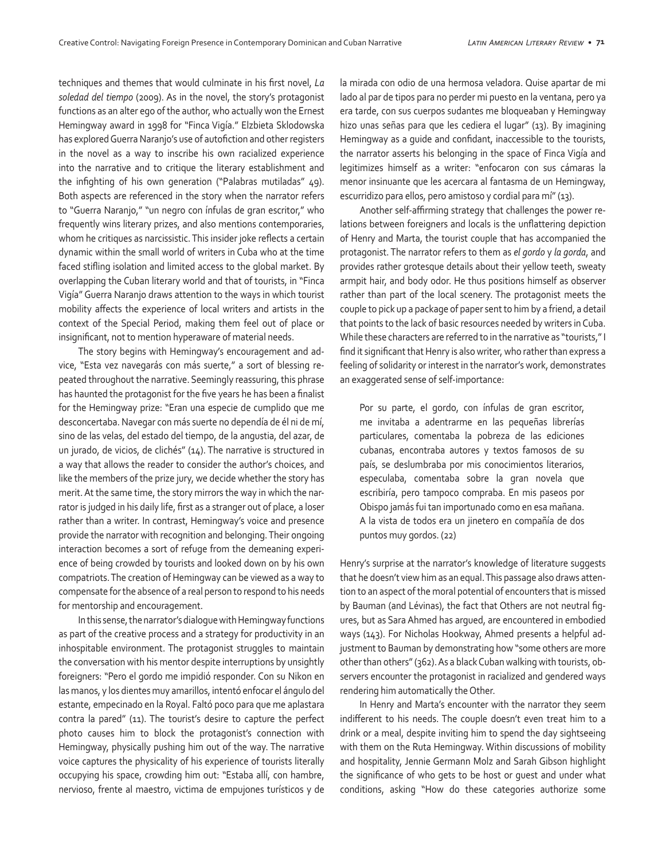techniques and themes that would culminate in his first novel, *La soledad del tiempo* (2009). As in the novel, the story's protagonist functions as an alter ego of the author, who actually won the Ernest Hemingway award in 1998 for "Finca Vigía." Elzbieta Sklodowska has explored Guerra Naranjo's use of autofiction and other registers in the novel as a way to inscribe his own racialized experience into the narrative and to critique the literary establishment and the infighting of his own generation ("Palabras mutiladas" 49). Both aspects are referenced in the story when the narrator refers to "Guerra Naranjo," "un negro con ínfulas de gran escritor," who frequently wins literary prizes, and also mentions contemporaries, whom he critiques as narcissistic. This insider joke reflects a certain dynamic within the small world of writers in Cuba who at the time faced stifling isolation and limited access to the global market. By overlapping the Cuban literary world and that of tourists, in "Finca Vigía" Guerra Naranjo draws attention to the ways in which tourist mobility affects the experience of local writers and artists in the context of the Special Period, making them feel out of place or insignificant, not to mention hyperaware of material needs.

The story begins with Hemingway's encouragement and advice, "Esta vez navegarás con más suerte," a sort of blessing repeated throughout the narrative. Seemingly reassuring, this phrase has haunted the protagonist for the five years he has been a finalist for the Hemingway prize: "Eran una especie de cumplido que me desconcertaba. Navegar con más suerte no dependía de él ni de mí, sino de las velas, del estado del tiempo, de la angustia, del azar, de un jurado, de vicios, de clichés" (14). The narrative is structured in a way that allows the reader to consider the author's choices, and like the members of the prize jury, we decide whether the story has merit. At the same time, the story mirrors the way in which the narrator is judged in his daily life, first as a stranger out of place, a loser rather than a writer. In contrast, Hemingway's voice and presence provide the narrator with recognition and belonging. Their ongoing interaction becomes a sort of refuge from the demeaning experience of being crowded by tourists and looked down on by his own compatriots. The creation of Hemingway can be viewed as a way to compensate for the absence of a real person to respond to his needs for mentorship and encouragement.

In this sense, the narrator's dialogue with Hemingway functions as part of the creative process and a strategy for productivity in an inhospitable environment. The protagonist struggles to maintain the conversation with his mentor despite interruptions by unsightly foreigners: "Pero el gordo me impidió responder. Con su Nikon en las manos, y los dientes muy amarillos, intentó enfocar el ángulo del estante, empecinado en la Royal. Faltó poco para que me aplastara contra la pared" (11). The tourist's desire to capture the perfect photo causes him to block the protagonist's connection with Hemingway, physically pushing him out of the way. The narrative voice captures the physicality of his experience of tourists literally occupying his space, crowding him out: "Estaba allí, con hambre, nervioso, frente al maestro, victima de empujones turísticos y de la mirada con odio de una hermosa veladora. Quise apartar de mi lado al par de tipos para no perder mi puesto en la ventana, pero ya era tarde, con sus cuerpos sudantes me bloqueaban y Hemingway hizo unas señas para que les cediera el lugar" (13). By imagining Hemingway as a guide and confidant, inaccessible to the tourists, the narrator asserts his belonging in the space of Finca Vigía and legitimizes himself as a writer: "enfocaron con sus cámaras la menor insinuante que les acercara al fantasma de un Hemingway, escurridizo para ellos, pero amistoso y cordial para mí" (13).

Another self-affirming strategy that challenges the power relations between foreigners and locals is the unflattering depiction of Henry and Marta, the tourist couple that has accompanied the protagonist. The narrator refers to them as *el gordo* y *la gorda*, and provides rather grotesque details about their yellow teeth, sweaty armpit hair, and body odor. He thus positions himself as observer rather than part of the local scenery. The protagonist meets the couple to pick up a package of paper sent to him by a friend, a detail that points to the lack of basic resources needed by writers in Cuba. While these characters are referred to in the narrative as "tourists," I find it significant that Henry is also writer, who rather than express a feeling of solidarity or interest in the narrator's work, demonstrates an exaggerated sense of self-importance:

Por su parte, el gordo, con ínfulas de gran escritor, me invitaba a adentrarme en las pequeñas librerías particulares, comentaba la pobreza de las ediciones cubanas, encontraba autores y textos famosos de su país, se deslumbraba por mis conocimientos literarios, especulaba, comentaba sobre la gran novela que escribiría, pero tampoco compraba. En mis paseos por Obispo jamás fui tan importunado como en esa mañana. A la vista de todos era un jinetero en compañía de dos puntos muy gordos. (22)

Henry's surprise at the narrator's knowledge of literature suggests that he doesn't view him as an equal. This passage also draws attention to an aspect of the moral potential of encounters that is missed by Bauman (and Lévinas), the fact that Others are not neutral figures, but as Sara Ahmed has argued, are encountered in embodied ways (143). For Nicholas Hookway, Ahmed presents a helpful adjustment to Bauman by demonstrating how "some others are more other than others" (362). As a black Cuban walking with tourists, observers encounter the protagonist in racialized and gendered ways rendering him automatically the Other.

In Henry and Marta's encounter with the narrator they seem indifferent to his needs. The couple doesn't even treat him to a drink or a meal, despite inviting him to spend the day sightseeing with them on the Ruta Hemingway. Within discussions of mobility and hospitality, Jennie Germann Molz and Sarah Gibson highlight the significance of who gets to be host or guest and under what conditions, asking "How do these categories authorize some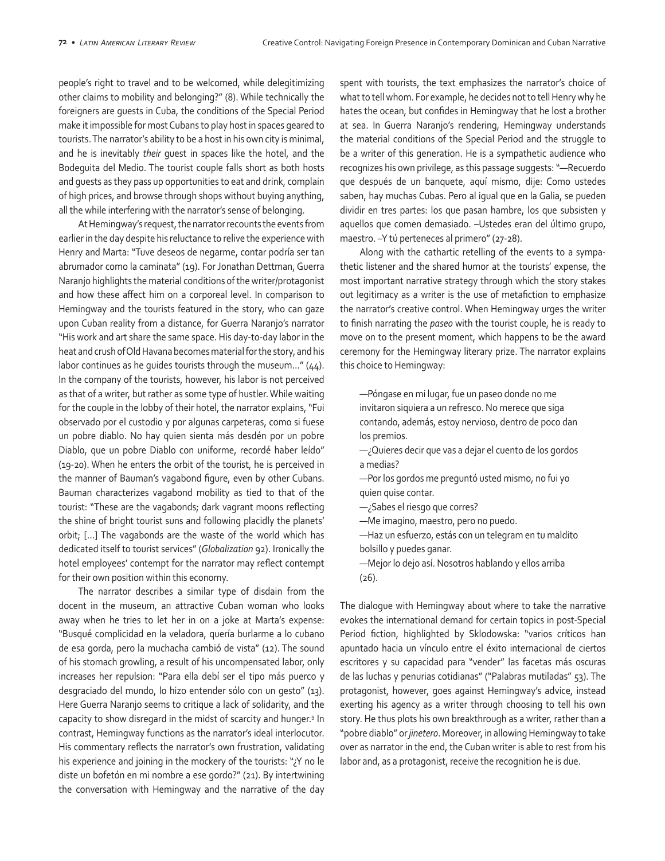people's right to travel and to be welcomed, while delegitimizing other claims to mobility and belonging?" (8). While technically the foreigners are guests in Cuba, the conditions of the Special Period make it impossible for most Cubans to play host in spaces geared to tourists. The narrator's ability to be a host in his own city is minimal, and he is inevitably *their* guest in spaces like the hotel, and the Bodeguita del Medio. The tourist couple falls short as both hosts and guests as they pass up opportunities to eat and drink, complain of high prices, and browse through shops without buying anything, all the while interfering with the narrator's sense of belonging.

At Hemingway's request, the narrator recounts the events from earlier in the day despite his reluctance to relive the experience with Henry and Marta: "Tuve deseos de negarme, contar podría ser tan abrumador como la caminata" (19). For Jonathan Dettman, Guerra Naranjo highlights the material conditions of the writer/protagonist and how these affect him on a corporeal level. In comparison to Hemingway and the tourists featured in the story, who can gaze upon Cuban reality from a distance, for Guerra Naranjo's narrator "His work and art share the same space. His day-to-day labor in the heat and crush of Old Havana becomes material for the story, and his labor continues as he guides tourists through the museum…" (44). In the company of the tourists, however, his labor is not perceived as that of a writer, but rather as some type of hustler. While waiting for the couple in the lobby of their hotel, the narrator explains, "Fui observado por el custodio y por algunas carpeteras, como si fuese un pobre diablo. No hay quien sienta más desdén por un pobre Diablo, que un pobre Diablo con uniforme, recordé haber leído" (19-20). When he enters the orbit of the tourist, he is perceived in the manner of Bauman's vagabond figure, even by other Cubans. Bauman characterizes vagabond mobility as tied to that of the tourist: "These are the vagabonds; dark vagrant moons reflecting the shine of bright tourist suns and following placidly the planets' orbit; […] The vagabonds are the waste of the world which has dedicated itself to tourist services" (*Globalization* 92). Ironically the hotel employees' contempt for the narrator may reflect contempt for their own position within this economy.

The narrator describes a similar type of disdain from the docent in the museum, an attractive Cuban woman who looks away when he tries to let her in on a joke at Marta's expense: "Busqué complicidad en la veladora, quería burlarme a lo cubano de esa gorda, pero la muchacha cambió de vista" (12). The sound of his stomach growling, a result of his uncompensated labor, only increases her repulsion: "Para ella debí ser el tipo más puerco y desgraciado del mundo, lo hizo entender sólo con un gesto" (13). Here Guerra Naranjo seems to critique a lack of solidarity, and the capacity to show disregard in the midst of scarcity and hunger.<sup>9</sup> In contrast, Hemingway functions as the narrator's ideal interlocutor. His commentary reflects the narrator's own frustration, validating his experience and joining in the mockery of the tourists: "¿Y no le diste un bofetón en mi nombre a ese gordo?" (21). By intertwining the conversation with Hemingway and the narrative of the day spent with tourists, the text emphasizes the narrator's choice of what to tell whom. For example, he decides not to tell Henry why he hates the ocean, but confides in Hemingway that he lost a brother at sea. In Guerra Naranjo's rendering, Hemingway understands the material conditions of the Special Period and the struggle to be a writer of this generation. He is a sympathetic audience who recognizes his own privilege, as this passage suggests: "—Recuerdo que después de un banquete, aquí mismo, dije: Como ustedes saben, hay muchas Cubas. Pero al igual que en la Galia, se pueden dividir en tres partes: los que pasan hambre, los que subsisten y aquellos que comen demasiado. –Ustedes eran del último grupo, maestro. –Y tú perteneces al primero" (27-28).

Along with the cathartic retelling of the events to a sympathetic listener and the shared humor at the tourists' expense, the most important narrative strategy through which the story stakes out legitimacy as a writer is the use of metafiction to emphasize the narrator's creative control. When Hemingway urges the writer to finish narrating the *paseo* with the tourist couple, he is ready to move on to the present moment, which happens to be the award ceremony for the Hemingway literary prize. The narrator explains this choice to Hemingway:

—Póngase en mi lugar, fue un paseo donde no me invitaron siquiera a un refresco. No merece que siga contando, además, estoy nervioso, dentro de poco dan los premios.

—¿Quieres decir que vas a dejar el cuento de los gordos a medias?

—Por los gordos me preguntó usted mismo, no fui yo quien quise contar.

—¿Sabes el riesgo que corres?

—Me imagino, maestro, pero no puedo.

—Haz un esfuerzo, estás con un telegram en tu maldito bolsillo y puedes ganar.

—Mejor lo dejo así. Nosotros hablando y ellos arriba (26).

The dialogue with Hemingway about where to take the narrative evokes the international demand for certain topics in post-Special Period fiction, highlighted by Sklodowska: "varios críticos han apuntado hacia un vínculo entre el éxito internacional de ciertos escritores y su capacidad para "vender" las facetas más oscuras de las luchas y penurias cotidianas" ("Palabras mutiladas" 53). The protagonist, however, goes against Hemingway's advice, instead exerting his agency as a writer through choosing to tell his own story. He thus plots his own breakthrough as a writer, rather than a "pobre diablo" or *jinetero*. Moreover, in allowing Hemingway to take over as narrator in the end, the Cuban writer is able to rest from his labor and, as a protagonist, receive the recognition he is due.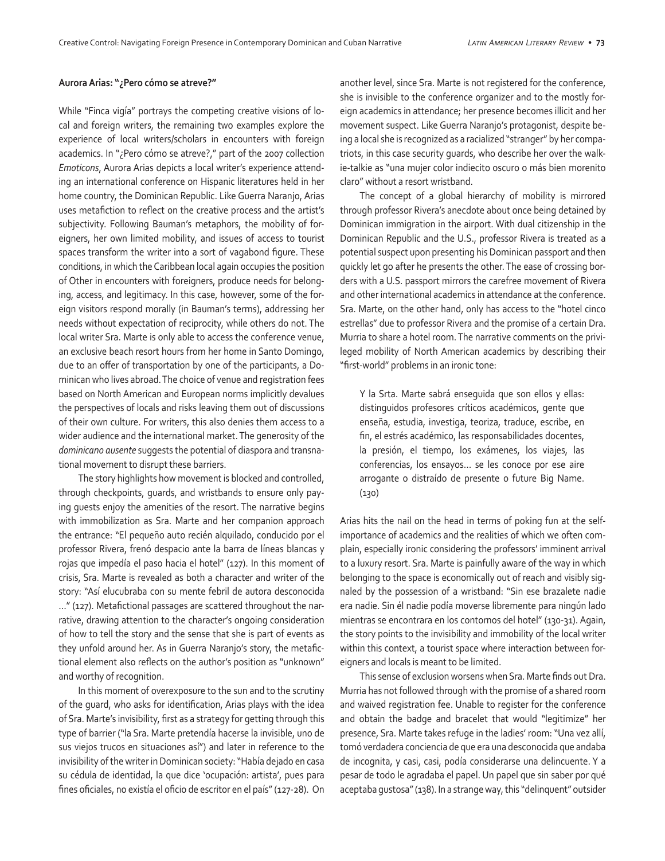#### **Aurora Arias: "¿Pero cómo se atreve?"**

While "Finca vigía" portrays the competing creative visions of local and foreign writers, the remaining two examples explore the experience of local writers/scholars in encounters with foreign academics. In "¿Pero cómo se atreve?," part of the 2007 collection *Emoticons*, Aurora Arias depicts a local writer's experience attending an international conference on Hispanic literatures held in her home country, the Dominican Republic. Like Guerra Naranjo, Arias uses metafiction to reflect on the creative process and the artist's subjectivity. Following Bauman's metaphors, the mobility of foreigners, her own limited mobility, and issues of access to tourist spaces transform the writer into a sort of vagabond figure. These conditions, in which the Caribbean local again occupies the position of Other in encounters with foreigners, produce needs for belonging, access, and legitimacy. In this case, however, some of the foreign visitors respond morally (in Bauman's terms), addressing her needs without expectation of reciprocity, while others do not. The local writer Sra. Marte is only able to access the conference venue, an exclusive beach resort hours from her home in Santo Domingo, due to an offer of transportation by one of the participants, a Dominican who lives abroad. The choice of venue and registration fees based on North American and European norms implicitly devalues the perspectives of locals and risks leaving them out of discussions of their own culture. For writers, this also denies them access to a wider audience and the international market. The generosity of the *dominicano ausente* suggests the potential of diaspora and transnational movement to disrupt these barriers.

The story highlights how movement is blocked and controlled, through checkpoints, guards, and wristbands to ensure only paying guests enjoy the amenities of the resort. The narrative begins with immobilization as Sra. Marte and her companion approach the entrance: "El pequeño auto recién alquilado, conducido por el professor Rivera, frenó despacio ante la barra de líneas blancas y rojas que impedía el paso hacia el hotel" (127). In this moment of crisis, Sra. Marte is revealed as both a character and writer of the story: "Así elucubraba con su mente febril de autora desconocida …" (127). Metafictional passages are scattered throughout the narrative, drawing attention to the character's ongoing consideration of how to tell the story and the sense that she is part of events as they unfold around her. As in Guerra Naranjo's story, the metafictional element also reflects on the author's position as "unknown" and worthy of recognition.

In this moment of overexposure to the sun and to the scrutiny of the guard, who asks for identification, Arias plays with the idea of Sra. Marte's invisibility, first as a strategy for getting through this type of barrier ("la Sra. Marte pretendía hacerse la invisible, uno de sus viejos trucos en situaciones así") and later in reference to the invisibility of the writer in Dominican society: "Había dejado en casa su cédula de identidad, la que dice 'ocupación: artista', pues para fines oficiales, no existía el oficio de escritor en el país" (127-28). On another level, since Sra. Marte is not registered for the conference, she is invisible to the conference organizer and to the mostly foreign academics in attendance; her presence becomes illicit and her movement suspect. Like Guerra Naranjo's protagonist, despite being a local she is recognized as a racialized "stranger" by her compatriots, in this case security guards, who describe her over the walkie-talkie as "una mujer color indiecito oscuro o más bien morenito claro" without a resort wristband.

The concept of a global hierarchy of mobility is mirrored through professor Rivera's anecdote about once being detained by Dominican immigration in the airport. With dual citizenship in the Dominican Republic and the U.S., professor Rivera is treated as a potential suspect upon presenting his Dominican passport and then quickly let go after he presents the other. The ease of crossing borders with a U.S. passport mirrors the carefree movement of Rivera and other international academics in attendance at the conference. Sra. Marte, on the other hand, only has access to the "hotel cinco estrellas" due to professor Rivera and the promise of a certain Dra. Murria to share a hotel room. The narrative comments on the privileged mobility of North American academics by describing their "first-world" problems in an ironic tone:

Y la Srta. Marte sabrá enseguida que son ellos y ellas: distinguidos profesores críticos académicos, gente que enseña, estudia, investiga, teoriza, traduce, escribe, en fin, el estrés académico, las responsabilidades docentes, la presión, el tiempo, los exámenes, los viajes, las conferencias, los ensayos… se les conoce por ese aire arrogante o distraído de presente o future Big Name. (130)

Arias hits the nail on the head in terms of poking fun at the selfimportance of academics and the realities of which we often complain, especially ironic considering the professors' imminent arrival to a luxury resort. Sra. Marte is painfully aware of the way in which belonging to the space is economically out of reach and visibly signaled by the possession of a wristband: "Sin ese brazalete nadie era nadie. Sin él nadie podía moverse libremente para ningún lado mientras se encontrara en los contornos del hotel" (130-31). Again, the story points to the invisibility and immobility of the local writer within this context, a tourist space where interaction between foreigners and locals is meant to be limited.

This sense of exclusion worsens when Sra. Marte finds out Dra. Murria has not followed through with the promise of a shared room and waived registration fee. Unable to register for the conference and obtain the badge and bracelet that would "legitimize" her presence, Sra. Marte takes refuge in the ladies' room: "Una vez allí, tomó verdadera conciencia de que era una desconocida que andaba de incognita, y casi, casi, podía considerarse una delincuente. Y a pesar de todo le agradaba el papel. Un papel que sin saber por qué aceptaba gustosa" (138). In a strange way, this "delinquent" outsider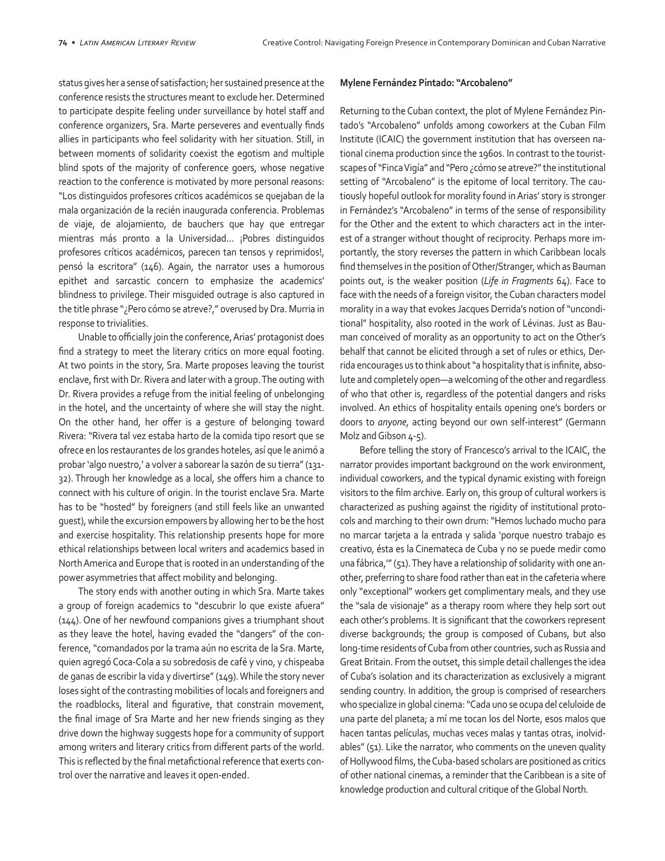status gives her a sense of satisfaction; her sustained presence at the conference resists the structures meant to exclude her. Determined to participate despite feeling under surveillance by hotel staff and conference organizers, Sra. Marte perseveres and eventually finds allies in participants who feel solidarity with her situation. Still, in between moments of solidarity coexist the egotism and multiple blind spots of the majority of conference goers, whose negative reaction to the conference is motivated by more personal reasons: "Los distinguidos profesores críticos académicos se quejaban de la mala organización de la recién inaugurada conferencia. Problemas de viaje, de alojamiento, de bauchers que hay que entregar mientras más pronto a la Universidad… ¡Pobres distinguidos profesores críticos académicos, parecen tan tensos y reprimidos!, pensó la escritora" (146). Again, the narrator uses a humorous epithet and sarcastic concern to emphasize the academics' blindness to privilege. Their misguided outrage is also captured in the title phrase "¿Pero cómo se atreve?," overused by Dra. Murria in response to trivialities.

Unable to officially join the conference, Arias' protagonist does find a strategy to meet the literary critics on more equal footing. At two points in the story, Sra. Marte proposes leaving the tourist enclave, first with Dr. Rivera and later with a group. The outing with Dr. Rivera provides a refuge from the initial feeling of unbelonging in the hotel, and the uncertainty of where she will stay the night. On the other hand, her offer is a gesture of belonging toward Rivera: "Rivera tal vez estaba harto de la comida tipo resort que se ofrece en los restaurantes de los grandes hoteles, así que le animó a probar 'algo nuestro,' a volver a saborear la sazón de su tierra" (131- 32). Through her knowledge as a local, she offers him a chance to connect with his culture of origin. In the tourist enclave Sra. Marte has to be "hosted" by foreigners (and still feels like an unwanted guest), while the excursion empowers by allowing her to be the host and exercise hospitality. This relationship presents hope for more ethical relationships between local writers and academics based in North America and Europe that is rooted in an understanding of the power asymmetries that affect mobility and belonging.

The story ends with another outing in which Sra. Marte takes a group of foreign academics to "descubrir lo que existe afuera" (144). One of her newfound companions gives a triumphant shout as they leave the hotel, having evaded the "dangers" of the conference, "comandados por la trama aún no escrita de la Sra. Marte, quien agregó Coca-Cola a su sobredosis de café y vino, y chispeaba de ganas de escribir la vida y divertirse" (149). While the story never loses sight of the contrasting mobilities of locals and foreigners and the roadblocks, literal and figurative, that constrain movement, the final image of Sra Marte and her new friends singing as they drive down the highway suggests hope for a community of support among writers and literary critics from different parts of the world. This is reflected by the final metafictional reference that exerts control over the narrative and leaves it open-ended.

#### **Mylene Fernández Pintado: "Arcobaleno"**

Returning to the Cuban context, the plot of Mylene Fernández Pintado's "Arcobaleno" unfolds among coworkers at the Cuban Film Institute (ICAIC) the government institution that has overseen national cinema production since the 1960s. In contrast to the touristscapes of "Finca Vigía" and "Pero ¿cómo se atreve?" the institutional setting of "Arcobaleno" is the epitome of local territory. The cautiously hopeful outlook for morality found in Arias' story is stronger in Fernández's "Arcobaleno" in terms of the sense of responsibility for the Other and the extent to which characters act in the interest of a stranger without thought of reciprocity. Perhaps more importantly, the story reverses the pattern in which Caribbean locals find themselves in the position of Other/Stranger, which as Bauman points out, is the weaker position (*Life in Fragments* 64). Face to face with the needs of a foreign visitor, the Cuban characters model morality in a way that evokes Jacques Derrida's notion of "unconditional" hospitality, also rooted in the work of Lévinas. Just as Bauman conceived of morality as an opportunity to act on the Other's behalf that cannot be elicited through a set of rules or ethics, Derrida encourages us to think about "a hospitality that is infinite, absolute and completely open—a welcoming of the other and regardless of who that other is, regardless of the potential dangers and risks involved. An ethics of hospitality entails opening one's borders or doors to *anyone*, acting beyond our own self-interest" (Germann Molz and Gibson 4-5).

Before telling the story of Francesco's arrival to the ICAIC, the narrator provides important background on the work environment, individual coworkers, and the typical dynamic existing with foreign visitors to the film archive. Early on, this group of cultural workers is characterized as pushing against the rigidity of institutional protocols and marching to their own drum: "Hemos luchado mucho para no marcar tarjeta a la entrada y salida 'porque nuestro trabajo es creativo, ésta es la Cinemateca de Cuba y no se puede medir como una fábrica,"" (51). They have a relationship of solidarity with one another, preferring to share food rather than eat in the cafeteria where only "exceptional" workers get complimentary meals, and they use the "sala de visionaje" as a therapy room where they help sort out each other's problems. It is significant that the coworkers represent diverse backgrounds; the group is composed of Cubans, but also long-time residents of Cuba from other countries, such as Russia and Great Britain. From the outset, this simple detail challenges the idea of Cuba's isolation and its characterization as exclusively a migrant sending country. In addition, the group is comprised of researchers who specialize in global cinema: "Cada uno se ocupa del celuloide de una parte del planeta; a mí me tocan los del Norte, esos malos que hacen tantas películas, muchas veces malas y tantas otras, inolvidables" (51). Like the narrator, who comments on the uneven quality of Hollywood films, the Cuba-based scholars are positioned as critics of other national cinemas, a reminder that the Caribbean is a site of knowledge production and cultural critique of the Global North.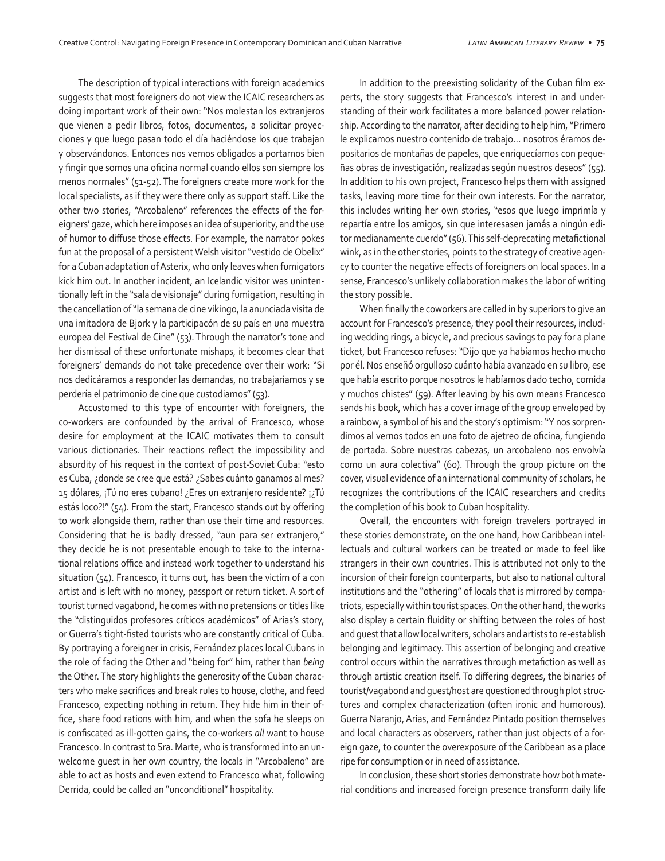The description of typical interactions with foreign academics suggests that most foreigners do not view the ICAIC researchers as doing important work of their own: "Nos molestan los extranjeros que vienen a pedir libros, fotos, documentos, a solicitar proyecciones y que luego pasan todo el día haciéndose los que trabajan y observándonos. Entonces nos vemos obligados a portarnos bien y fingir que somos una oficina normal cuando ellos son siempre los menos normales" (51-52). The foreigners create more work for the local specialists, as if they were there only as support staff. Like the other two stories, "Arcobaleno" references the effects of the foreigners' gaze, which here imposes an idea of superiority, and the use of humor to diffuse those effects. For example, the narrator pokes fun at the proposal of a persistent Welsh visitor "vestido de Obelix" for a Cuban adaptation of Asterix, who only leaves when fumigators kick him out. In another incident, an Icelandic visitor was unintentionally left in the "sala de visionaje" during fumigation, resulting in the cancellation of "la semana de cine vikingo, la anunciada visita de una imitadora de Bjork y la participacón de su país en una muestra europea del Festival de Cine" (53). Through the narrator's tone and her dismissal of these unfortunate mishaps, it becomes clear that foreigners' demands do not take precedence over their work: "Si nos dedicáramos a responder las demandas, no trabajaríamos y se perdería el patrimonio de cine que custodiamos" (53).

Accustomed to this type of encounter with foreigners, the co-workers are confounded by the arrival of Francesco, whose desire for employment at the ICAIC motivates them to consult various dictionaries. Their reactions reflect the impossibility and absurdity of his request in the context of post-Soviet Cuba: "esto es Cuba, ¿donde se cree que está? ¿Sabes cuánto ganamos al mes? 15 dólares, ¡Tú no eres cubano! ¿Eres un extranjero residente? ¡¿Tú estás loco?!" (54). From the start, Francesco stands out by offering to work alongside them, rather than use their time and resources. Considering that he is badly dressed, "aun para ser extranjero," they decide he is not presentable enough to take to the international relations office and instead work together to understand his situation (54). Francesco, it turns out, has been the victim of a con artist and is left with no money, passport or return ticket. A sort of tourist turned vagabond, he comes with no pretensions or titles like the "distinguidos profesores críticos académicos" of Arias's story, or Guerra's tight-fisted tourists who are constantly critical of Cuba. By portraying a foreigner in crisis, Fernández places local Cubans in the role of facing the Other and "being for" him, rather than *being* the Other. The story highlights the generosity of the Cuban characters who make sacrifices and break rules to house, clothe, and feed Francesco, expecting nothing in return. They hide him in their office, share food rations with him, and when the sofa he sleeps on is confiscated as ill-gotten gains, the co-workers *all* want to house Francesco. In contrast to Sra. Marte, who is transformed into an unwelcome guest in her own country, the locals in "Arcobaleno" are able to act as hosts and even extend to Francesco what, following Derrida, could be called an "unconditional" hospitality.

In addition to the preexisting solidarity of the Cuban film experts, the story suggests that Francesco's interest in and understanding of their work facilitates a more balanced power relationship. According to the narrator, after deciding to help him, "Primero le explicamos nuestro contenido de trabajo… nosotros éramos depositarios de montañas de papeles, que enriquecíamos con pequeñas obras de investigación, realizadas según nuestros deseos" (55). In addition to his own project, Francesco helps them with assigned tasks, leaving more time for their own interests. For the narrator, this includes writing her own stories, "esos que luego imprimía y repartía entre los amigos, sin que interesasen jamás a ningún editor medianamente cuerdo" (56). This self-deprecating metafictional wink, as in the other stories, points to the strategy of creative agency to counter the negative effects of foreigners on local spaces. In a sense, Francesco's unlikely collaboration makes the labor of writing the story possible.

When finally the coworkers are called in by superiors to give an account for Francesco's presence, they pool their resources, including wedding rings, a bicycle, and precious savings to pay for a plane ticket, but Francesco refuses: "Dijo que ya habíamos hecho mucho por él. Nos enseñó orgulloso cuánto había avanzado en su libro, ese que había escrito porque nosotros le habíamos dado techo, comida y muchos chistes" (59). After leaving by his own means Francesco sends his book, which has a cover image of the group enveloped by a rainbow, a symbol of his and the story's optimism: "Y nos sorprendimos al vernos todos en una foto de ajetreo de oficina, fungiendo de portada. Sobre nuestras cabezas, un arcobaleno nos envolvía como un aura colectiva" (60). Through the group picture on the cover, visual evidence of an international community of scholars, he recognizes the contributions of the ICAIC researchers and credits the completion of his book to Cuban hospitality.

Overall, the encounters with foreign travelers portrayed in these stories demonstrate, on the one hand, how Caribbean intellectuals and cultural workers can be treated or made to feel like strangers in their own countries. This is attributed not only to the incursion of their foreign counterparts, but also to national cultural institutions and the "othering" of locals that is mirrored by compatriots, especially within tourist spaces. On the other hand, the works also display a certain fluidity or shifting between the roles of host and guest that allow local writers, scholars and artists to re-establish belonging and legitimacy. This assertion of belonging and creative control occurs within the narratives through metafiction as well as through artistic creation itself. To differing degrees, the binaries of tourist/vagabond and guest/host are questioned through plot structures and complex characterization (often ironic and humorous). Guerra Naranjo, Arias, and Fernández Pintado position themselves and local characters as observers, rather than just objects of a foreign gaze, to counter the overexposure of the Caribbean as a place ripe for consumption or in need of assistance.

In conclusion, these short stories demonstrate how both material conditions and increased foreign presence transform daily life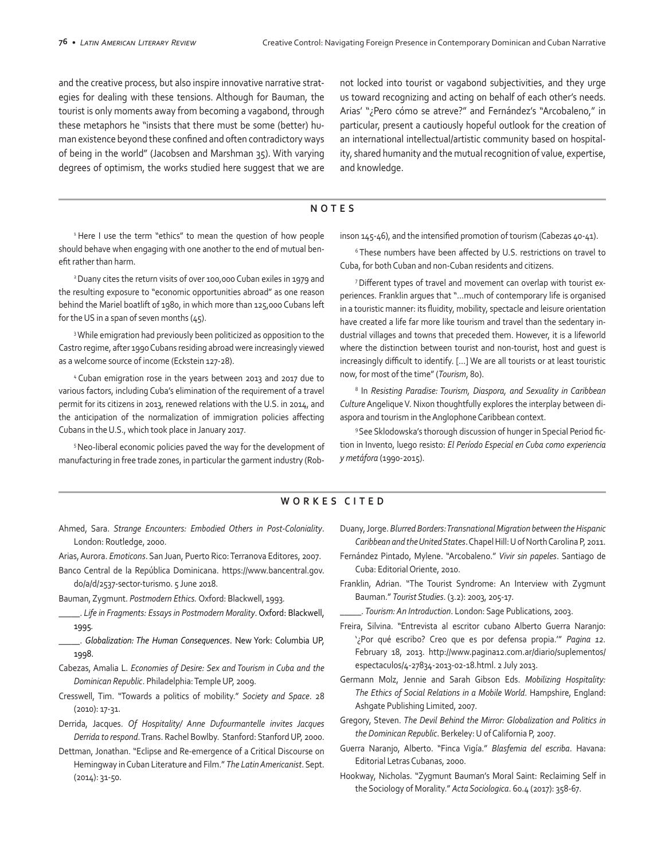and the creative process, but also inspire innovative narrative strategies for dealing with these tensions. Although for Bauman, the tourist is only moments away from becoming a vagabond, through these metaphors he "insists that there must be some (better) human existence beyond these confined and often contradictory ways of being in the world" (Jacobsen and Marshman 35). With varying degrees of optimism, the works studied here suggest that we are not locked into tourist or vagabond subjectivities, and they urge us toward recognizing and acting on behalf of each other's needs. Arias' "¿Pero cómo se atreve?" and Fernández's "Arcobaleno," in particular, present a cautiously hopeful outlook for the creation of an international intellectual/artistic community based on hospitality, shared humanity and the mutual recognition of value, expertise, and knowledge.

#### **NOTES**

<sup>1</sup> Here I use the term "ethics" to mean the question of how people should behave when engaging with one another to the end of mutual benefit rather than harm.

2 Duany cites the return visits of over 100,000 Cuban exiles in 1979 and the resulting exposure to "economic opportunities abroad" as one reason behind the Mariel boatlift of 1980, in which more than 125,000 Cubans left for the US in a span of seven months (45).

3 While emigration had previously been politicized as opposition to the Castro regime, after 1990 Cubans residing abroad were increasingly viewed as a welcome source of income (Eckstein 127-28).

4 Cuban emigration rose in the years between 2013 and 2017 due to various factors, including Cuba's elimination of the requirement of a travel permit for its citizens in 2013, renewed relations with the U.S. in 2014, and the anticipation of the normalization of immigration policies affecting Cubans in the U.S., which took place in January 2017.

5 Neo-liberal economic policies paved the way for the development of manufacturing in free trade zones, in particular the garment industry (Robinson 145-46), and the intensified promotion of tourism (Cabezas 40-41).

<sup>6</sup> These numbers have been affected by U.S. restrictions on travel to Cuba, for both Cuban and non-Cuban residents and citizens.

7 Different types of travel and movement can overlap with tourist experiences. Franklin argues that "…much of contemporary life is organised in a touristic manner: its fluidity, mobility, spectacle and leisure orientation have created a life far more like tourism and travel than the sedentary industrial villages and towns that preceded them. However, it is a lifeworld where the distinction between tourist and non-tourist, host and guest is increasingly difficult to identify. […] We are all tourists or at least touristic now, for most of the time" (*Tourism*, 80).

<sup>8</sup> In *Resisting Paradise: Tourism, Diaspora, and Sexuality in Caribbean Culture* Angelique V. Nixon thoughtfully explores the interplay between diaspora and tourism in the Anglophone Caribbean context.

9 See Sklodowska's thorough discussion of hunger in Special Period fiction in Invento, luego resisto: *El Período Especial en Cuba como experiencia y metáfora* (1990-2015).

### **WORKES CITED**

Ahmed, Sara. *Strange Encounters: Embodied Others in Post-Coloniality*. London: Routledge, 2000.

Arias, Aurora. *Emoticons*. San Juan, Puerto Rico: Terranova Editores, 2007.

- Banco Central de la República Dominicana. https://www.bancentral.gov. do/a/d/2537-sector-turismo. 5 June 2018.
- Bauman, Zygmunt. *Postmodern Ethics.* Oxford: Blackwell, 1993*.*
- \_\_\_\_\_. *Life in Fragments: Essays in Postmodern Morality*. Oxford: Blackwell, 1995*.*
- \_\_\_\_\_. *Globalization: The Human Consequences*. New York: Columbia UP, 1998.
- Cabezas, Amalia L. *Economies of Desire: Sex and Tourism in Cuba and the Dominican Republic*. Philadelphia: Temple UP, 2009.
- Cresswell, Tim. "Towards a politics of mobility." *Society and Space*. 28 (2010): 17-31.
- Derrida, Jacques. *Of Hospitality/ Anne Dufourmantelle invites Jacques Derrida to respond*. Trans. Rachel Bowlby. Stanford: Stanford UP, 2000.
- Dettman, Jonathan. "Eclipse and Re-emergence of a Critical Discourse on Hemingway in Cuban Literature and Film." *The Latin Americanist*. Sept. (2014): 31-50.
- Duany, Jorge. *Blurred Borders: Transnational Migration between the Hispanic Caribbean and the United States*. Chapel Hill: U of North Carolina P, 2011.
- Fernández Pintado, Mylene. "Arcobaleno." *Vivir sin papeles*. Santiago de Cuba: Editorial Oriente, 2010.
- Franklin, Adrian. "The Tourist Syndrome: An Interview with Zygmunt Bauman." *Tourist Studies*. (3.2): 2003, 205-17.
- \_\_\_\_\_. *Tourism: An Introduction*. London: Sage Publications, 2003.
- Freira, Silvina. "Entrevista al escritor cubano Alberto Guerra Naranjo: '¿Por qué escribo? Creo que es por defensa propia.'" *Pagina 12.*  February 18, 2013. http://www.pagina12.com.ar/diario/suplementos/ espectaculos/4-27834-2013-02-18.html. 2 July 2013.
- Germann Molz, Jennie and Sarah Gibson Eds. *Mobilizing Hospitality: The Ethics of Social Relations in a Mobile World*. Hampshire, England: Ashgate Publishing Limited, 2007.
- Gregory, Steven. *The Devil Behind the Mirror: Globalization and Politics in the Dominican Republic*. Berkeley: U of California P, 2007.
- Guerra Naranjo, Alberto. "Finca Vigía." *Blasfemia del escriba*. Havana: Editorial Letras Cubanas, 2000.
- Hookway, Nicholas. "Zygmunt Bauman's Moral Saint: Reclaiming Self in the Sociology of Morality." *Acta Sociologica*. 60.4 (2017): 358-67.